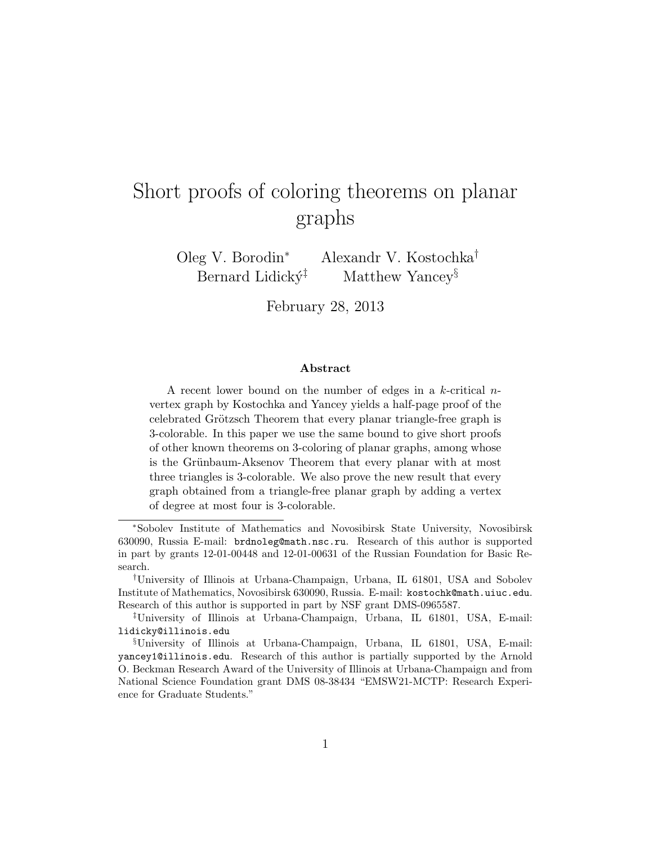# Short proofs of coloring theorems on planar graphs

Oleg V. Borodin<sup>∗</sup> Alexandr V. Kostochka† Bernard Lidick $\acute{y}$ <sup> $\ddagger$ </sup> Matthew Yancey<sup>§</sup>

February 28, 2013

#### Abstract

A recent lower bound on the number of edges in a  $k$ -critical  $n$ vertex graph by Kostochka and Yancey yields a half-page proof of the celebrated Grötzsch Theorem that every planar triangle-free graph is 3-colorable. In this paper we use the same bound to give short proofs of other known theorems on 3-coloring of planar graphs, among whose is the Grünbaum-Aksenov Theorem that every planar with at most three triangles is 3-colorable. We also prove the new result that every graph obtained from a triangle-free planar graph by adding a vertex of degree at most four is 3-colorable.

<sup>∗</sup>Sobolev Institute of Mathematics and Novosibirsk State University, Novosibirsk 630090, Russia E-mail: brdnoleg@math.nsc.ru. Research of this author is supported in part by grants 12-01-00448 and 12-01-00631 of the Russian Foundation for Basic Research.

<sup>†</sup>University of Illinois at Urbana-Champaign, Urbana, IL 61801, USA and Sobolev Institute of Mathematics, Novosibirsk 630090, Russia. E-mail: kostochk@math.uiuc.edu. Research of this author is supported in part by NSF grant DMS-0965587.

<sup>‡</sup>University of Illinois at Urbana-Champaign, Urbana, IL 61801, USA, E-mail: lidicky@illinois.edu

<sup>§</sup>University of Illinois at Urbana-Champaign, Urbana, IL 61801, USA, E-mail: yancey1@illinois.edu. Research of this author is partially supported by the Arnold O. Beckman Research Award of the University of Illinois at Urbana-Champaign and from National Science Foundation grant DMS 08-38434 "EMSW21-MCTP: Research Experience for Graduate Students."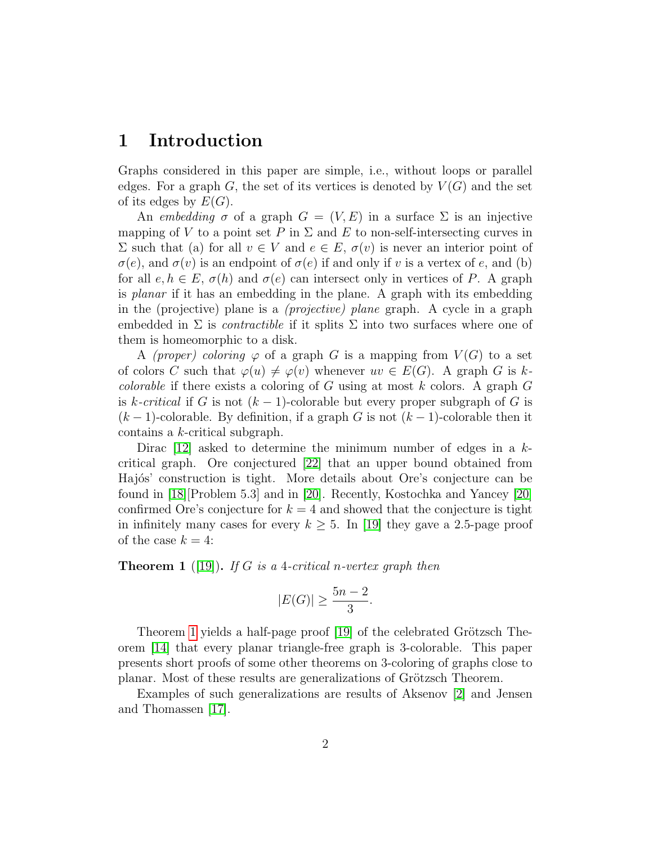#### 1 Introduction

Graphs considered in this paper are simple, i.e., without loops or parallel edges. For a graph G, the set of its vertices is denoted by  $V(G)$  and the set of its edges by  $E(G)$ .

An embedding  $\sigma$  of a graph  $G = (V, E)$  in a surface  $\Sigma$  is an injective mapping of V to a point set P in  $\Sigma$  and E to non-self-intersecting curves in  $\Sigma$  such that (a) for all  $v \in V$  and  $e \in E$ ,  $\sigma(v)$  is never an interior point of  $\sigma(e)$ , and  $\sigma(v)$  is an endpoint of  $\sigma(e)$  if and only if v is a vertex of e, and (b) for all  $e, h \in E$ ,  $\sigma(h)$  and  $\sigma(e)$  can intersect only in vertices of P. A graph is planar if it has an embedding in the plane. A graph with its embedding in the (projective) plane is a (projective) plane graph. A cycle in a graph embedded in  $\Sigma$  is *contractible* if it splits  $\Sigma$  into two surfaces where one of them is homeomorphic to a disk.

A (proper) coloring  $\varphi$  of a graph G is a mapping from  $V(G)$  to a set of colors C such that  $\varphi(u) \neq \varphi(v)$  whenever  $uv \in E(G)$ . A graph G is k*colorable* if there exists a coloring of G using at most  $k$  colors. A graph  $G$ is k-critical if G is not  $(k-1)$ -colorable but every proper subgraph of G is  $(k-1)$ -colorable. By definition, if a graph G is not  $(k-1)$ -colorable then it contains a k-critical subgraph.

Dirac  $[12]$  asked to determine the minimum number of edges in a kcritical graph. Ore conjectured [\[22\]](#page-12-0) that an upper bound obtained from Hajós' construction is tight. More details about Ore's conjecture can be found in [\[18\]](#page-11-1)[Problem 5.3] and in [\[20\]](#page-11-2). Recently, Kostochka and Yancey [\[20\]](#page-11-2) confirmed Ore's conjecture for  $k = 4$  and showed that the conjecture is tight in infinitely many cases for every  $k \geq 5$ . In [\[19\]](#page-11-3) they gave a 2.5-page proof of the case  $k = 4$ :

<span id="page-1-0"></span>**Theorem 1** ([\[19\]](#page-11-3)). If G is a 4-critical n-vertex graph then

$$
|E(G)| \ge \frac{5n-2}{3}.
$$

Theorem [1](#page-1-0) yields a half-page proof [\[19\]](#page-11-3) of the celebrated Grötzsch Theorem [\[14\]](#page-11-4) that every planar triangle-free graph is 3-colorable. This paper presents short proofs of some other theorems on 3-coloring of graphs close to planar. Most of these results are generalizations of Grötzsch Theorem.

Examples of such generalizations are results of Aksenov [\[2\]](#page-10-0) and Jensen and Thomassen [\[17\]](#page-11-5).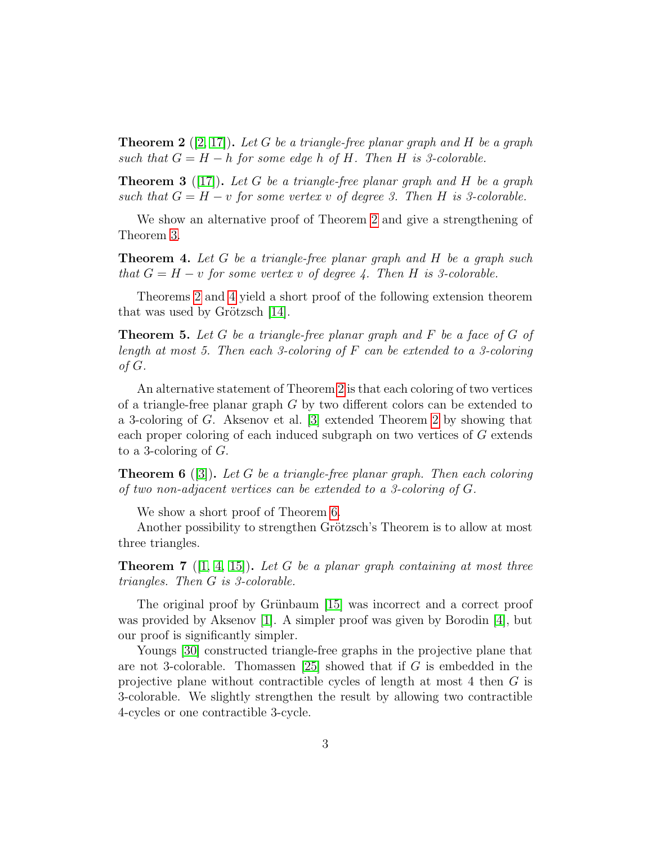<span id="page-2-0"></span>**Theorem 2** ([\[2,](#page-10-0) [17\]](#page-11-5)). Let G be a triangle-free planar graph and H be a graph such that  $G = H - h$  for some edge h of H. Then H is 3-colorable.

<span id="page-2-1"></span>**Theorem 3** ([\[17\]](#page-11-5)). Let G be a triangle-free planar graph and H be a graph such that  $G = H - v$  for some vertex v of degree 3. Then H is 3-colorable.

We show an alternative proof of Theorem [2](#page-2-0) and give a strengthening of Theorem [3.](#page-2-1)

<span id="page-2-2"></span>**Theorem 4.** Let G be a triangle-free planar graph and H be a graph such that  $G = H - v$  for some vertex v of degree 4. Then H is 3-colorable.

Theorems [2](#page-2-0) and [4](#page-2-2) yield a short proof of the following extension theorem that was used by Grötzsch  $[14]$ .

<span id="page-2-4"></span>**Theorem 5.** Let G be a triangle-free planar graph and F be a face of G of length at most 5. Then each 3-coloring of  $F$  can be extended to a 3-coloring of G.

An alternative statement of Theorem [2](#page-2-0) is that each coloring of two vertices of a triangle-free planar graph  $G$  by two different colors can be extended to a 3-coloring of G. Aksenov et al. [\[3\]](#page-10-1) extended Theorem [2](#page-2-0) by showing that each proper coloring of each induced subgraph on two vertices of G extends to a 3-coloring of  $G$ .

<span id="page-2-3"></span>**Theorem 6** ([\[3\]](#page-10-1)). Let G be a triangle-free planar graph. Then each coloring of two non-adjacent vertices can be extended to a 3-coloring of G.

We show a short proof of Theorem [6.](#page-2-3)

Another possibility to strengthen Grötzsch's Theorem is to allow at most three triangles.

<span id="page-2-5"></span>**Theorem 7** ([\[1,](#page-10-2) [4,](#page-10-3) [15\]](#page-11-6)). Let G be a planar graph containing at most three triangles. Then G is 3-colorable.

The original proof by Grünbaum [\[15\]](#page-11-6) was incorrect and a correct proof was provided by Aksenov [\[1\]](#page-10-2). A simpler proof was given by Borodin [\[4\]](#page-10-3), but our proof is significantly simpler.

Youngs [\[30\]](#page-12-1) constructed triangle-free graphs in the projective plane that are not 3-colorable. Thomassen  $[25]$  showed that if G is embedded in the projective plane without contractible cycles of length at most 4 then G is 3-colorable. We slightly strengthen the result by allowing two contractible 4-cycles or one contractible 3-cycle.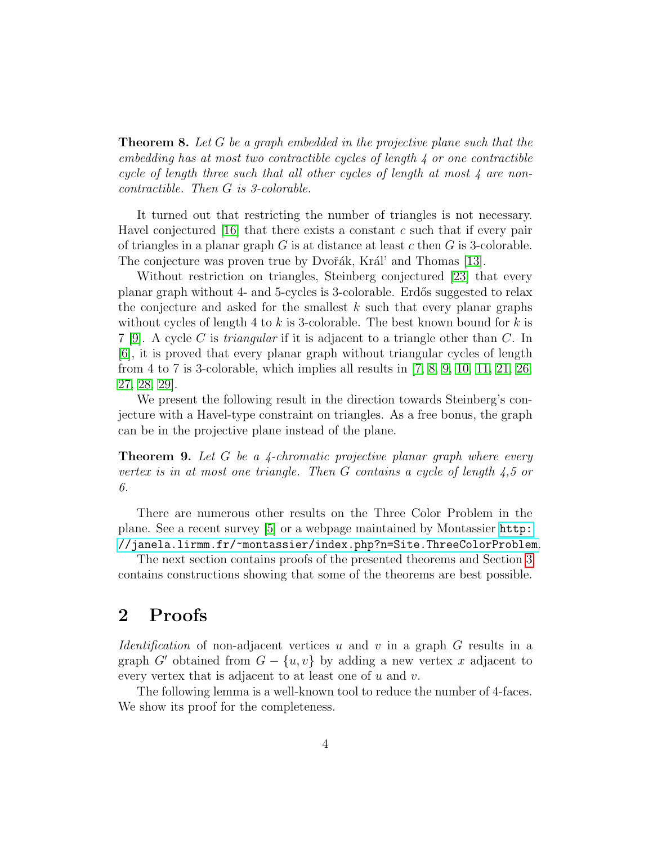<span id="page-3-0"></span>**Theorem 8.** Let G be a graph embedded in the projective plane such that the embedding has at most two contractible cycles of length  $\lambda$  or one contractible cycle of length three such that all other cycles of length at most 4 are noncontractible. Then G is 3-colorable.

It turned out that restricting the number of triangles is not necessary. Havel conjectured [\[16\]](#page-11-7) that there exists a constant c such that if every pair of triangles in a planar graph  $G$  is at distance at least  $c$  then  $G$  is 3-colorable. The conjecture was proven true by Dvořák, Král' and Thomas [\[13\]](#page-11-8).

Without restriction on triangles, Steinberg conjectured [\[23\]](#page-12-3) that every planar graph without 4- and 5-cycles is 3-colorable. Erdős suggested to relax the conjecture and asked for the smallest  $k$  such that every planar graphs without cycles of length 4 to k is 3-colorable. The best known bound for k is  $7 \vert 9$ . A cycle C is *triangular* if it is adjacent to a triangle other than C. In [\[6\]](#page-10-4), it is proved that every planar graph without triangular cycles of length from 4 to 7 is 3-colorable, which implies all results in [\[7,](#page-10-5) [8,](#page-11-10) [9,](#page-11-9) [10,](#page-11-11) [11,](#page-11-12) [21,](#page-12-4) [26,](#page-12-5) [27,](#page-12-6) [28,](#page-12-7) [29\]](#page-12-8).

We present the following result in the direction towards Steinberg's conjecture with a Havel-type constraint on triangles. As a free bonus, the graph can be in the projective plane instead of the plane.

<span id="page-3-1"></span>**Theorem 9.** Let G be a 4-chromatic projective planar graph where every vertex is in at most one triangle. Then G contains a cycle of length 4,5 or 6.

There are numerous other results on the Three Color Problem in the plane. See a recent survey [\[5\]](#page-10-6) or a webpage maintained by Montassier [http:](http://janela.lirmm.fr/~montassier/index.php?n=Site.ThreeColorProblem) [//janela.lirmm.fr/~montassier/index.php?n=Site.ThreeColorProblem](http://janela.lirmm.fr/~montassier/index.php?n=Site.ThreeColorProblem).

The next section contains proofs of the presented theorems and Section [3](#page-9-0) contains constructions showing that some of the theorems are best possible.

### 2 Proofs

*Identification* of non-adjacent vertices u and v in a graph  $G$  results in a graph G' obtained from  $G - \{u, v\}$  by adding a new vertex x adjacent to every vertex that is adjacent to at least one of  $u$  and  $v$ .

The following lemma is a well-known tool to reduce the number of 4-faces. We show its proof for the completeness.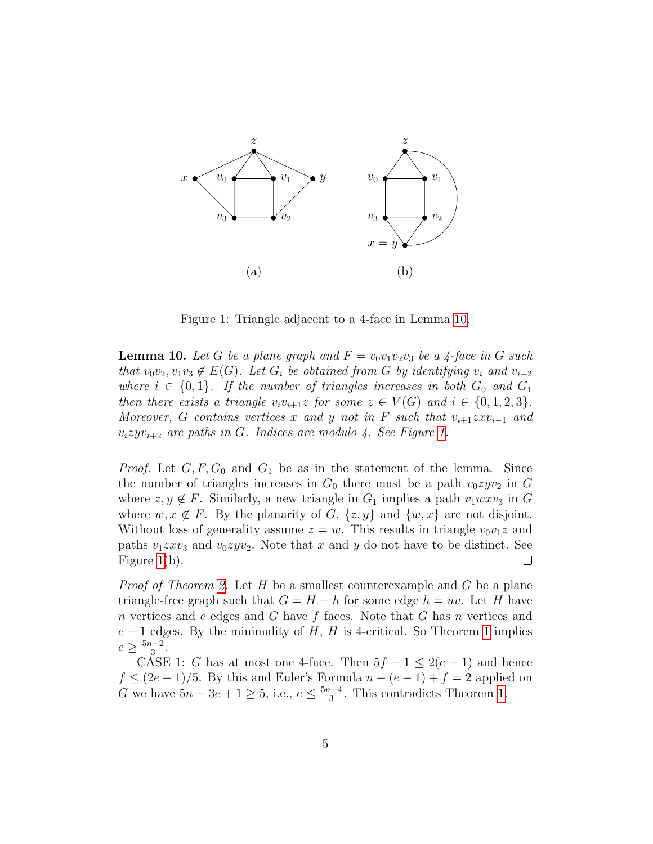

<span id="page-4-1"></span>Figure 1: Triangle adjacent to a 4-face in Lemma [10.](#page-4-0)

<span id="page-4-0"></span>**Lemma 10.** Let G be a plane graph and  $F = v_0v_1v_2v_3$  be a 4-face in G such that  $v_0v_2, v_1v_3 \notin E(G)$ . Let  $G_i$  be obtained from G by identifying  $v_i$  and  $v_{i+2}$ where  $i \in \{0,1\}$ . If the number of triangles increases in both  $G_0$  and  $G_1$ then there exists a triangle  $v_i v_{i+1} z$  for some  $z \in V(G)$  and  $i \in \{0,1,2,3\}.$ Moreover, G contains vertices x and y not in F such that  $v_{i+1}z x v_{i-1}$  and  $v_izyv_{i+2}$  are paths in G. Indices are modulo 4. See Figure [1.](#page-4-1)

*Proof.* Let  $G, F, G_0$  and  $G_1$  be as in the statement of the lemma. Since the number of triangles increases in  $G_0$  there must be a path  $v_0zyv_2$  in G where  $z, y \notin F$ . Similarly, a new triangle in  $G_1$  implies a path  $v_1wxy_3$  in G where  $w, x \notin F$ . By the planarity of G,  $\{z, y\}$  and  $\{w, x\}$  are not disjoint. Without loss of generality assume  $z = w$ . This results in triangle  $v_0v_1z$  and paths  $v_1zxy_3$  and  $v_0zyv_2$ . Note that x and y do not have to be distinct. See Figure [1\(](#page-4-1)b).  $\Box$ 

*Proof of Theorem [2.](#page-2-0)* Let  $H$  be a smallest counterexample and  $G$  be a plane triangle-free graph such that  $G = H - h$  for some edge  $h = uv$ . Let H have n vertices and e edges and G have f faces. Note that G has n vertices and  $e-1$  edges. By the minimality of H, H is 4-critical. So Theorem [1](#page-1-0) implies  $e \geq \frac{5n-2}{3}$  $\frac{1}{3}$ .

CASE 1: G has at most one 4-face. Then  $5f - 1 \leq 2(e - 1)$  and hence  $f \leq (2e-1)/5$ . By this and Euler's Formula  $n-(e-1)+f=2$  applied on G we have  $5n - 3e + 1 \ge 5$ , i.e.,  $e \le \frac{5n - 4}{3}$  $\frac{a-4}{3}$ . This contradicts Theorem [1.](#page-1-0)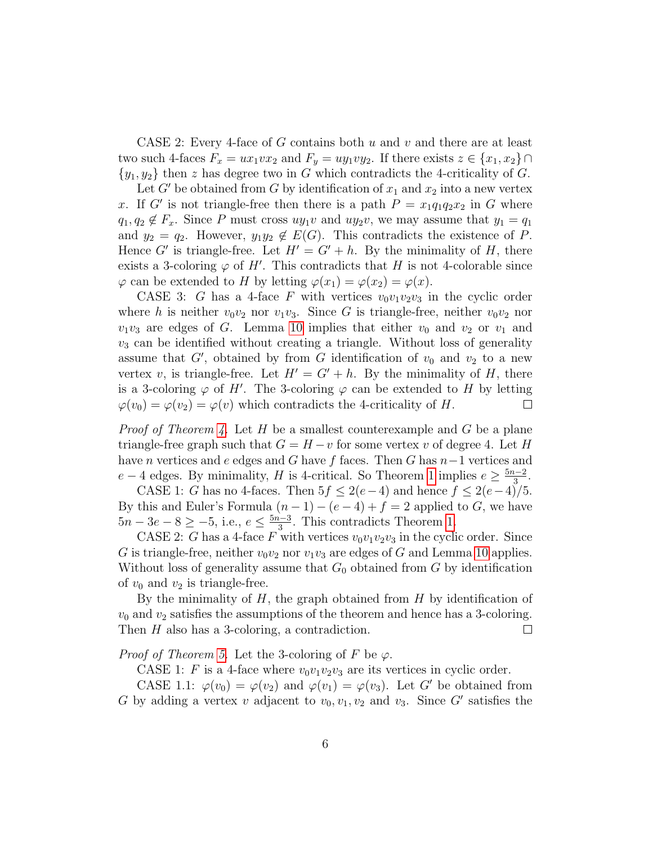CASE 2: Every 4-face of G contains both  $u$  and  $v$  and there are at least two such 4-faces  $F_x = ux_1vx_2$  and  $F_y = uy_1vy_2$ . If there exists  $z \in \{x_1, x_2\} \cap$  $\{y_1, y_2\}$  then z has degree two in G which contradicts the 4-criticality of G.

Let G' be obtained from G by identification of  $x_1$  and  $x_2$  into a new vertex x. If G' is not triangle-free then there is a path  $P = x_1q_1q_2x_2$  in G where  $q_1, q_2 \notin F_x$ . Since P must cross  $uy_1v$  and  $uy_2v$ , we may assume that  $y_1 = q_1$ and  $y_2 = q_2$ . However,  $y_1y_2 \notin E(G)$ . This contradicts the existence of P. Hence G' is triangle-free. Let  $H' = G' + h$ . By the minimality of H, there exists a 3-coloring  $\varphi$  of H'. This contradicts that H is not 4-colorable since  $\varphi$  can be extended to H by letting  $\varphi(x_1) = \varphi(x_2) = \varphi(x)$ .

CASE 3: G has a 4-face F with vertices  $v_0v_1v_2v_3$  in the cyclic order where h is neither  $v_0v_2$  nor  $v_1v_3$ . Since G is triangle-free, neither  $v_0v_2$  nor  $v_1v_3$  are edges of G. Lemma [10](#page-4-0) implies that either  $v_0$  and  $v_2$  or  $v_1$  and  $v_3$  can be identified without creating a triangle. Without loss of generality assume that  $G'$ , obtained by from G identification of  $v_0$  and  $v_2$  to a new vertex v, is triangle-free. Let  $H' = G' + h$ . By the minimality of H, there is a 3-coloring  $\varphi$  of H'. The 3-coloring  $\varphi$  can be extended to H by letting  $\varphi(v_0) = \varphi(v_2) = \varphi(v)$  which contradicts the 4-criticality of H.  $\Box$ 

*Proof of Theorem [4.](#page-2-2)* Let H be a smallest counterexample and G be a plane triangle-free graph such that  $G = H - v$  for some vertex v of degree 4. Let H have n vertices and e edges and G have f faces. Then G has  $n-1$  vertices and  $e-4$  edges. By minimality, H is 4-critical. So Theorem [1](#page-1-0) implies  $e \geq \frac{5n-2}{3}$  $rac{1}{3}$ .

CASE 1: G has no 4-faces. Then  $5f \leq 2(e-4)$  and hence  $f \leq 2(e-4)/5$ . By this and Euler's Formula  $(n-1)-(e-4)+f=2$  applied to G, we have  $5n - 3e - 8 \ge -5$ , i.e.,  $e \le \frac{5n - 3}{3}$  $\frac{1}{3}$ . This contradicts Theorem [1.](#page-1-0)

CASE 2: G has a 4-face F with vertices  $v_0v_1v_2v_3$  in the cyclic order. Since G is triangle-free, neither  $v_0v_2$  nor  $v_1v_3$  are edges of G and Lemma [10](#page-4-0) applies. Without loss of generality assume that  $G_0$  obtained from G by identification of  $v_0$  and  $v_2$  is triangle-free.

By the minimality of  $H$ , the graph obtained from  $H$  by identification of  $v_0$  and  $v_2$  satisfies the assumptions of the theorem and hence has a 3-coloring. Then H also has a 3-coloring, a contradiction.  $\Box$ 

*Proof of Theorem [5.](#page-2-4)* Let the 3-coloring of F be  $\varphi$ .

CASE 1: F is a 4-face where  $v_0v_1v_2v_3$  are its vertices in cyclic order.

CASE 1.1:  $\varphi(v_0) = \varphi(v_2)$  and  $\varphi(v_1) = \varphi(v_3)$ . Let G' be obtained from G by adding a vertex v adjacent to  $v_0, v_1, v_2$  and  $v_3$ . Since G' satisfies the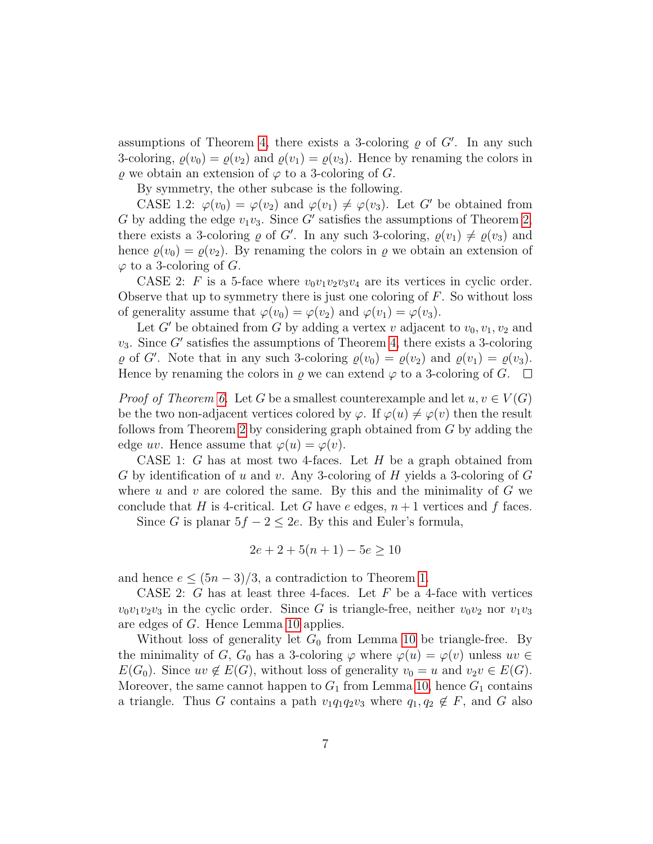assumptions of Theorem [4,](#page-2-2) there exists a 3-coloring  $\rho$  of  $G'$ . In any such 3-coloring,  $\rho(v_0) = \rho(v_2)$  and  $\rho(v_1) = \rho(v_3)$ . Hence by renaming the colors in  $\varrho$  we obtain an extension of  $\varphi$  to a 3-coloring of G.

By symmetry, the other subcase is the following.

CASE 1.2:  $\varphi(v_0) = \varphi(v_2)$  and  $\varphi(v_1) \neq \varphi(v_3)$ . Let G' be obtained from G by adding the edge  $v_1v_3$ . Since G' satisfies the assumptions of Theorem [2,](#page-2-0) there exists a 3-coloring  $\varrho$  of G'. In any such 3-coloring,  $\varrho(v_1) \neq \varrho(v_3)$  and hence  $\varrho(v_0) = \varrho(v_2)$ . By renaming the colors in  $\varrho$  we obtain an extension of  $\varphi$  to a 3-coloring of G.

CASE 2: F is a 5-face where  $v_0v_1v_2v_3v_4$  are its vertices in cyclic order. Observe that up to symmetry there is just one coloring of  $F$ . So without loss of generality assume that  $\varphi(v_0) = \varphi(v_2)$  and  $\varphi(v_1) = \varphi(v_3)$ .

Let G' be obtained from G by adding a vertex v adjacent to  $v_0, v_1, v_2$  and  $v_3$ . Since G' satisfies the assumptions of Theorem [4,](#page-2-2) there exists a 3-coloring  $\varrho$  of G'. Note that in any such 3-coloring  $\varrho(v_0) = \varrho(v_2)$  and  $\varrho(v_1) = \varrho(v_3)$ . Hence by renaming the colors in  $\varrho$  we can extend  $\varphi$  to a 3-coloring of G.  $\Box$ 

*Proof of Theorem [6.](#page-2-3)* Let G be a smallest counterexample and let  $u, v \in V(G)$ be the two non-adjacent vertices colored by  $\varphi$ . If  $\varphi(u) \neq \varphi(v)$  then the result follows from Theorem [2](#page-2-0) by considering graph obtained from G by adding the edge uv. Hence assume that  $\varphi(u) = \varphi(v)$ .

CASE 1: G has at most two 4-faces. Let  $H$  be a graph obtained from G by identification of u and v. Any 3-coloring of H yields a 3-coloring of  $G$ where  $u$  and  $v$  are colored the same. By this and the minimality of  $G$  we conclude that H is 4-critical. Let G have e edges,  $n+1$  vertices and f faces.

Since G is planar  $5f - 2 \leq 2e$ . By this and Euler's formula,

$$
2e + 2 + 5(n + 1) - 5e \ge 10
$$

and hence  $e \leq (5n-3)/3$ , a contradiction to Theorem [1.](#page-1-0)

CASE 2: G has at least three 4-faces. Let  $F$  be a 4-face with vertices  $v_0v_1v_2v_3$  in the cyclic order. Since G is triangle-free, neither  $v_0v_2$  nor  $v_1v_3$ are edges of G. Hence Lemma [10](#page-4-0) applies.

Without loss of generality let  $G_0$  from Lemma [10](#page-4-0) be triangle-free. By the minimality of G, G<sub>0</sub> has a 3-coloring  $\varphi$  where  $\varphi(u) = \varphi(v)$  unless  $uv \in$  $E(G_0)$ . Since  $uv \notin E(G)$ , without loss of generality  $v_0 = u$  and  $v_2v \in E(G)$ . Moreover, the same cannot happen to  $G_1$  from Lemma [10,](#page-4-0) hence  $G_1$  contains a triangle. Thus G contains a path  $v_1q_1q_2v_3$  where  $q_1, q_2 \notin F$ , and G also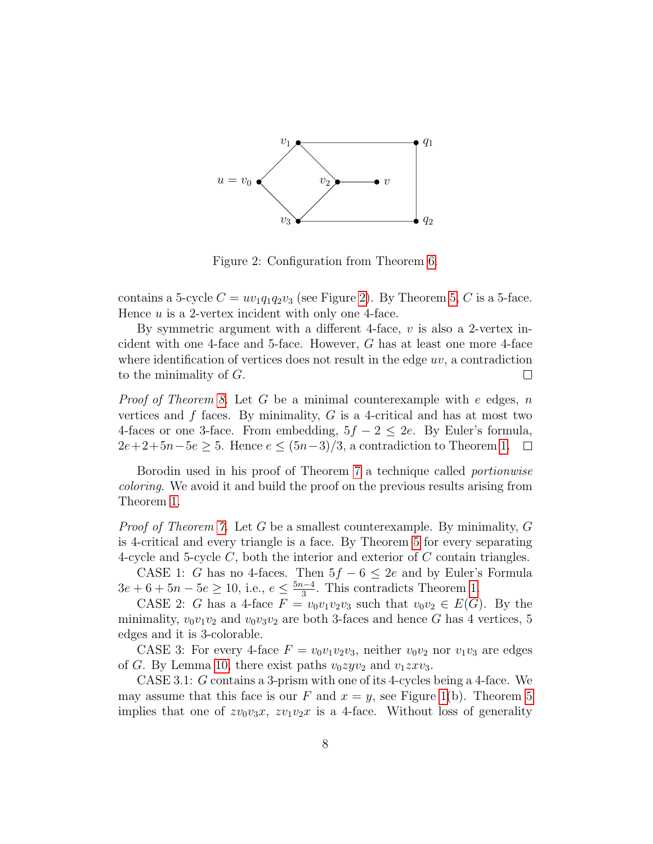

<span id="page-7-0"></span>Figure 2: Configuration from Theorem [6.](#page-2-3)

contains a 5-cycle  $C = uv_1q_1q_2v_3$  (see Figure [2\)](#page-7-0). By Theorem [5,](#page-2-4) C is a 5-face. Hence  $u$  is a 2-vertex incident with only one 4-face.

By symmetric argument with a different 4-face,  $v$  is also a 2-vertex incident with one 4-face and 5-face. However, G has at least one more 4-face where identification of vertices does not result in the edge  $uv$ , a contradiction to the minimality of G.  $\Box$ 

*Proof of Theorem [8.](#page-3-0)* Let G be a minimal counterexample with  $e$  edges, n vertices and  $f$  faces. By minimality,  $G$  is a 4-critical and has at most two 4-faces or one 3-face. From embedding,  $5f - 2 \leq 2e$ . By Euler's formula,  $2e+2+5n-5e \geq 5$ . Hence  $e \leq (5n-3)/3$ , a contradiction to Theorem [1.](#page-1-0)  $\Box$ 

Borodin used in his proof of Theorem [7](#page-2-5) a technique called portionwise coloring. We avoid it and build the proof on the previous results arising from Theorem [1.](#page-1-0)

*Proof of Theorem [7.](#page-2-5)* Let G be a smallest counterexample. By minimality, G is 4-critical and every triangle is a face. By Theorem [5](#page-2-4) for every separating 4-cycle and 5-cycle  $C$ , both the interior and exterior of  $C$  contain triangles.

CASE 1: G has no 4-faces. Then  $5f - 6 \leq 2e$  and by Euler's Formula  $3e + 6 + 5n - 5e \ge 10$ , i.e.,  $e \le \frac{5n-4}{3}$  $\frac{a-4}{3}$ . This contradicts Theorem [1.](#page-1-0)

CASE 2: G has a 4-face  $F = v_0v_1v_2v_3$  such that  $v_0v_2 \in E(G)$ . By the minimality,  $v_0v_1v_2$  and  $v_0v_3v_2$  are both 3-faces and hence G has 4 vertices, 5 edges and it is 3-colorable.

CASE 3: For every 4-face  $F = v_0v_1v_2v_3$ , neither  $v_0v_2$  nor  $v_1v_3$  are edges of G. By Lemma [10,](#page-4-0) there exist paths  $v_0zyv_2$  and  $v_1zxv_3$ .

CASE 3.1: G contains a 3-prism with one of its 4-cycles being a 4-face. We may assume that this face is our F and  $x = y$ , see Figure [1\(](#page-4-1)b). Theorem [5](#page-2-4) implies that one of  $zv_0v_3x$ ,  $zv_1v_2x$  is a 4-face. Without loss of generality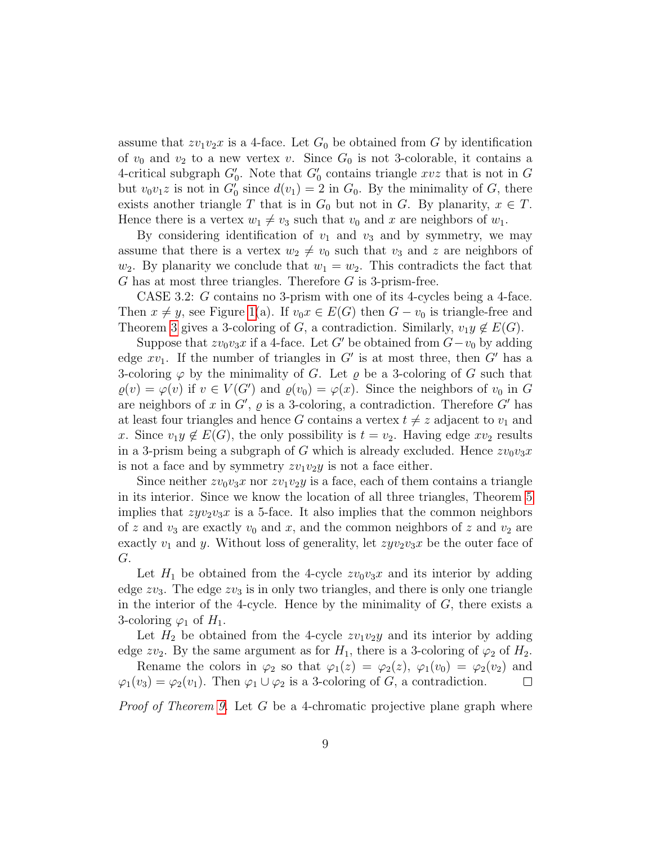assume that  $zv_1v_2x$  is a 4-face. Let  $G_0$  be obtained from G by identification of  $v_0$  and  $v_2$  to a new vertex v. Since  $G_0$  is not 3-colorable, it contains a 4-critical subgraph  $G'_0$ . Note that  $G'_0$  contains triangle  $xvz$  that is not in G but  $v_0v_1z$  is not in  $G'_0$  since  $d(v_1) = 2$  in  $G_0$ . By the minimality of G, there exists another triangle T that is in  $G_0$  but not in G. By planarity,  $x \in T$ . Hence there is a vertex  $w_1 \neq v_3$  such that  $v_0$  and x are neighbors of  $w_1$ .

By considering identification of  $v_1$  and  $v_3$  and by symmetry, we may assume that there is a vertex  $w_2 \neq v_0$  such that  $v_3$  and z are neighbors of  $w_2$ . By planarity we conclude that  $w_1 = w_2$ . This contradicts the fact that G has at most three triangles. Therefore G is 3-prism-free.

CASE 3.2: G contains no 3-prism with one of its 4-cycles being a 4-face. Then  $x \neq y$ , see Figure [1\(](#page-4-1)a). If  $v_0x \in E(G)$  then  $G - v_0$  is triangle-free and Theorem [3](#page-2-1) gives a 3-coloring of G, a contradiction. Similarly,  $v_1y \notin E(G)$ .

Suppose that  $zv_0v_3x$  if a 4-face. Let G' be obtained from  $G-v_0$  by adding edge  $xv_1$ . If the number of triangles in G' is at most three, then G' has a 3-coloring  $\varphi$  by the minimality of G. Let  $\varrho$  be a 3-coloring of G such that  $\varrho(v) = \varphi(v)$  if  $v \in V(G')$  and  $\varrho(v_0) = \varphi(x)$ . Since the neighbors of  $v_0$  in G are neighbors of x in  $G'$ ,  $\varrho$  is a 3-coloring, a contradiction. Therefore  $G'$  has at least four triangles and hence G contains a vertex  $t \neq z$  adjacent to  $v_1$  and x. Since  $v_1y \notin E(G)$ , the only possibility is  $t = v_2$ . Having edge  $xv_2$  results in a 3-prism being a subgraph of G which is already excluded. Hence  $zv_0v_3x$ is not a face and by symmetry  $zv_1v_2y$  is not a face either.

Since neither  $zv_0v_3x$  nor  $zv_1v_2y$  is a face, each of them contains a triangle in its interior. Since we know the location of all three triangles, Theorem [5](#page-2-4) implies that  $zyv_2v_3x$  is a 5-face. It also implies that the common neighbors of z and  $v_3$  are exactly  $v_0$  and x, and the common neighbors of z and  $v_2$  are exactly  $v_1$  and y. Without loss of generality, let  $zyv_2v_3x$  be the outer face of G.

Let  $H_1$  be obtained from the 4-cycle  $zv_0v_3x$  and its interior by adding edge  $zv_3$ . The edge  $zv_3$  is in only two triangles, and there is only one triangle in the interior of the 4-cycle. Hence by the minimality of  $G$ , there exists a 3-coloring  $\varphi_1$  of  $H_1$ .

Let  $H_2$  be obtained from the 4-cycle  $zv_1v_2y$  and its interior by adding edge zv<sub>2</sub>. By the same argument as for  $H_1$ , there is a 3-coloring of  $\varphi_2$  of  $H_2$ .

Rename the colors in  $\varphi_2$  so that  $\varphi_1(z) = \varphi_2(z), \varphi_1(v_0) = \varphi_2(v_2)$  and  $\varphi_1(v_3) = \varphi_2(v_1)$ . Then  $\varphi_1 \cup \varphi_2$  is a 3-coloring of G, a contradiction. ⊔

*Proof of Theorem [9.](#page-3-1)* Let  $G$  be a 4-chromatic projective plane graph where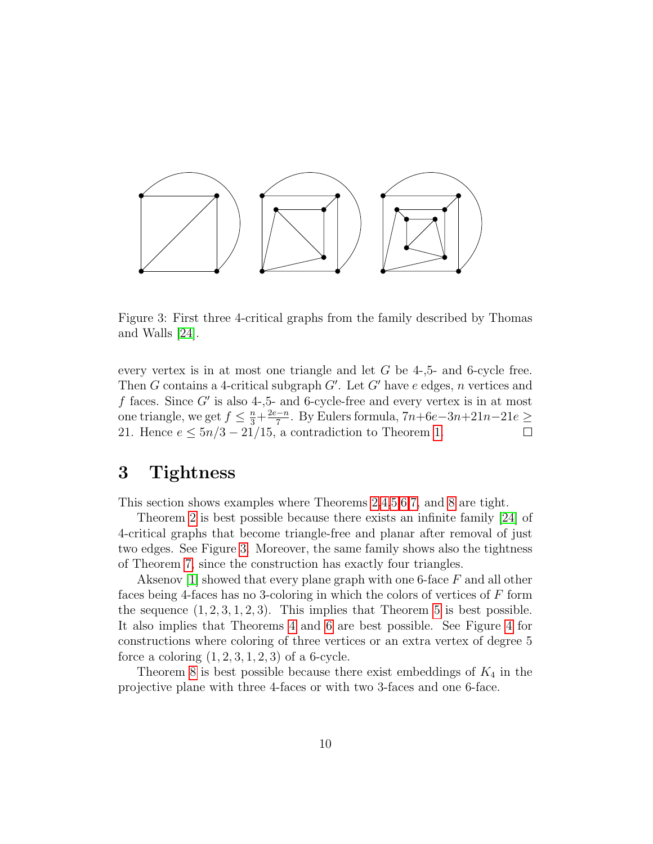

<span id="page-9-1"></span>Figure 3: First three 4-critical graphs from the family described by Thomas and Walls [\[24\]](#page-12-9).

every vertex is in at most one triangle and let  $G$  be 4-,5- and 6-cycle free. Then G contains a 4-critical subgraph  $G'$ . Let  $G'$  have e edges, n vertices and  $f$  faces. Since  $G'$  is also 4-,5- and 6-cycle-free and every vertex is in at most one triangle, we get  $f \leq \frac{n}{3} + \frac{2e - n}{7}$  $\frac{-n}{7}$ . By Eulers formula, 7n+6e−3n+21n−21e ≥ 21. Hence  $e \leq 5n/3 - 21/15$ , a contradiction to Theorem [1.](#page-1-0)  $\Box$ 

#### <span id="page-9-0"></span>3 Tightness

This section shows examples where Theorems [2,](#page-2-0)[4,](#page-2-2)[5,](#page-2-4)[6,](#page-2-3)[7,](#page-2-5) and [8](#page-3-0) are tight.

Theorem [2](#page-2-0) is best possible because there exists an infinite family [\[24\]](#page-12-9) of 4-critical graphs that become triangle-free and planar after removal of just two edges. See Figure [3.](#page-9-1) Moreover, the same family shows also the tightness of Theorem [7,](#page-2-5) since the construction has exactly four triangles.

Aksenov [\[1\]](#page-10-2) showed that every plane graph with one 6-face  $F$  and all other faces being 4-faces has no 3-coloring in which the colors of vertices of F form the sequence  $(1, 2, 3, 1, 2, 3)$ . This implies that Theorem [5](#page-2-4) is best possible. It also implies that Theorems [4](#page-2-2) and [6](#page-2-3) are best possible. See Figure [4](#page-10-7) for constructions where coloring of three vertices or an extra vertex of degree 5 force a coloring  $(1, 2, 3, 1, 2, 3)$  of a 6-cycle.

Theorem [8](#page-3-0) is best possible because there exist embeddings of  $K_4$  in the projective plane with three 4-faces or with two 3-faces and one 6-face.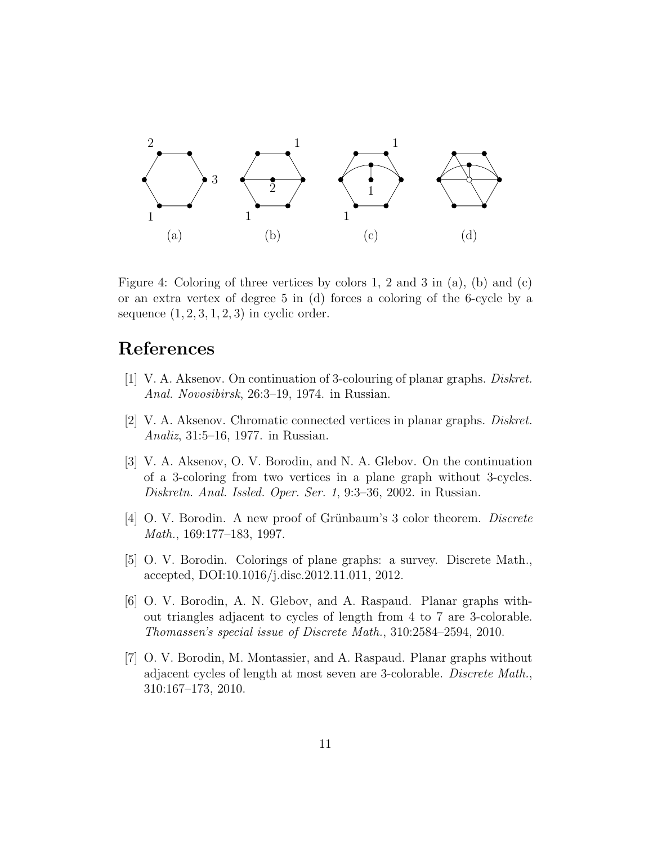

<span id="page-10-7"></span>Figure 4: Coloring of three vertices by colors 1, 2 and 3 in (a), (b) and (c) or an extra vertex of degree 5 in (d) forces a coloring of the 6-cycle by a sequence  $(1, 2, 3, 1, 2, 3)$  in cyclic order.

## References

- <span id="page-10-2"></span>[1] V. A. Aksenov. On continuation of 3-colouring of planar graphs. Diskret. Anal. Novosibirsk, 26:3–19, 1974. in Russian.
- <span id="page-10-0"></span>[2] V. A. Aksenov. Chromatic connected vertices in planar graphs. Diskret. Analiz, 31:5–16, 1977. in Russian.
- <span id="page-10-1"></span>[3] V. A. Aksenov, O. V. Borodin, and N. A. Glebov. On the continuation of a 3-coloring from two vertices in a plane graph without 3-cycles. Diskretn. Anal. Issled. Oper. Ser. 1, 9:3–36, 2002. in Russian.
- <span id="page-10-3"></span>[4] O. V. Borodin. A new proof of Grünbaum's 3 color theorem. *Discrete* Math., 169:177–183, 1997.
- <span id="page-10-6"></span>[5] O. V. Borodin. Colorings of plane graphs: a survey. Discrete Math., accepted, DOI:10.1016/j.disc.2012.11.011, 2012.
- <span id="page-10-4"></span>[6] O. V. Borodin, A. N. Glebov, and A. Raspaud. Planar graphs without triangles adjacent to cycles of length from 4 to 7 are 3-colorable. Thomassen's special issue of Discrete Math., 310:2584–2594, 2010.
- <span id="page-10-5"></span>[7] O. V. Borodin, M. Montassier, and A. Raspaud. Planar graphs without adjacent cycles of length at most seven are 3-colorable. Discrete Math., 310:167–173, 2010.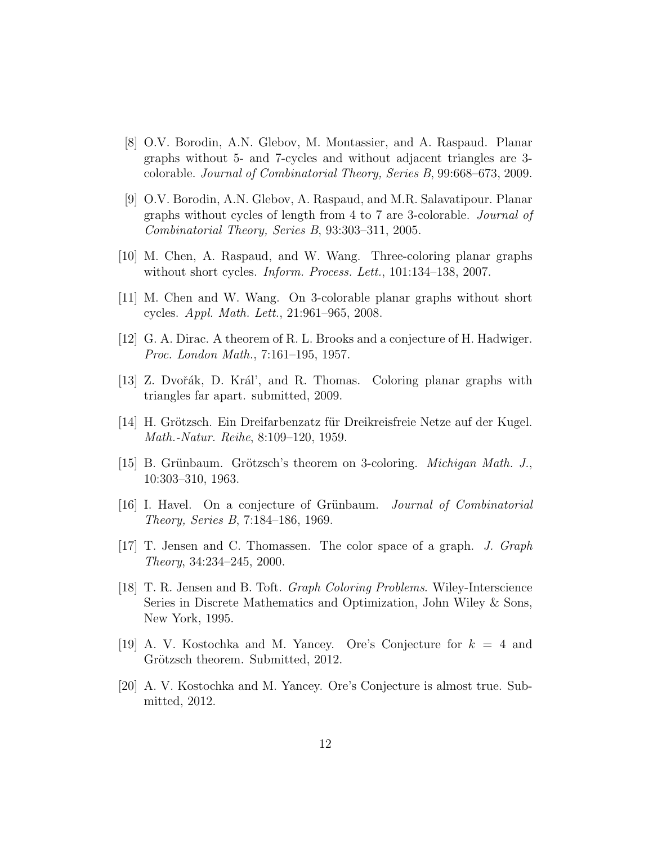- <span id="page-11-10"></span>[8] O.V. Borodin, A.N. Glebov, M. Montassier, and A. Raspaud. Planar graphs without 5- and 7-cycles and without adjacent triangles are 3 colorable. Journal of Combinatorial Theory, Series B, 99:668–673, 2009.
- <span id="page-11-9"></span>[9] O.V. Borodin, A.N. Glebov, A. Raspaud, and M.R. Salavatipour. Planar graphs without cycles of length from 4 to 7 are 3-colorable. Journal of Combinatorial Theory, Series B, 93:303–311, 2005.
- <span id="page-11-11"></span>[10] M. Chen, A. Raspaud, and W. Wang. Three-coloring planar graphs without short cycles. Inform. Process. Lett., 101:134–138, 2007.
- <span id="page-11-12"></span>[11] M. Chen and W. Wang. On 3-colorable planar graphs without short cycles. Appl. Math. Lett., 21:961–965, 2008.
- <span id="page-11-0"></span>[12] G. A. Dirac. A theorem of R. L. Brooks and a conjecture of H. Hadwiger. Proc. London Math., 7:161–195, 1957.
- <span id="page-11-8"></span>[13] Z. Dvořák, D. Král', and R. Thomas. Coloring planar graphs with triangles far apart. submitted, 2009.
- <span id="page-11-4"></span>[14] H. Grötzsch. Ein Dreifarbenzatz für Dreikreisfreie Netze auf der Kugel. Math.-Natur. Reihe, 8:109–120, 1959.
- <span id="page-11-6"></span>[15] B. Grünbaum. Grötzsch's theorem on 3-coloring. *Michigan Math. J.*, 10:303–310, 1963.
- <span id="page-11-7"></span>[16] I. Havel. On a conjecture of Grünbaum. *Journal of Combinatorial* Theory, Series B, 7:184–186, 1969.
- <span id="page-11-5"></span>[17] T. Jensen and C. Thomassen. The color space of a graph. J. Graph Theory, 34:234–245, 2000.
- <span id="page-11-1"></span>[18] T. R. Jensen and B. Toft. Graph Coloring Problems. Wiley-Interscience Series in Discrete Mathematics and Optimization, John Wiley & Sons, New York, 1995.
- <span id="page-11-3"></span>[19] A. V. Kostochka and M. Yancey. Ore's Conjecture for  $k = 4$  and Grötzsch theorem. Submitted, 2012.
- <span id="page-11-2"></span>[20] A. V. Kostochka and M. Yancey. Ore's Conjecture is almost true. Submitted, 2012.